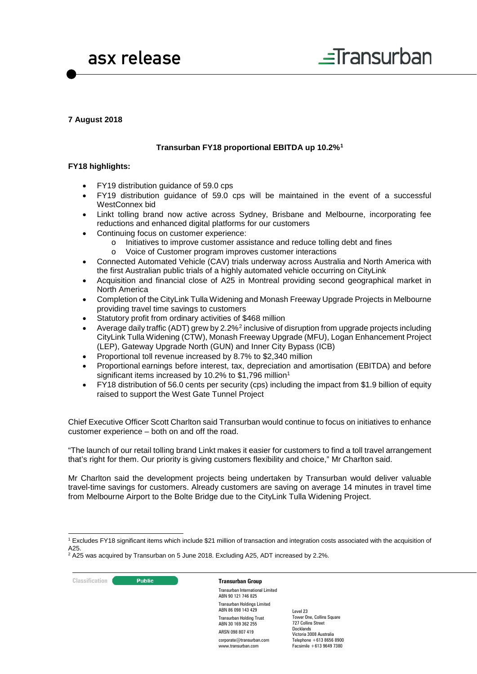



# **7 August 2018**

## **Transurban FY18 proportional EBITDA up 10.2%[1](#page-0-0)**

#### **FY18 highlights:**

- FY19 distribution guidance of 59.0 cps
- FY19 distribution guidance of 59.0 cps will be maintained in the event of a successful WestConnex bid
- Linkt tolling brand now active across Sydney, Brisbane and Melbourne, incorporating fee reductions and enhanced digital platforms for our customers
- Continuing focus on customer experience:
	- o Initiatives to improve customer assistance and reduce tolling debt and fines o<br>Noice of Customer program improves customer interactions
	- Voice of Customer program improves customer interactions
- Connected Automated Vehicle (CAV) trials underway across Australia and North America with the first Australian public trials of a highly automated vehicle occurring on CityLink
- Acquisition and financial close of A25 in Montreal providing second geographical market in North America
- Completion of the CityLink Tulla Widening and Monash Freeway Upgrade Projects in Melbourne providing travel time savings to customers
- Statutory profit from ordinary activities of \$468 million
- Average daily traffic (ADT) grew by [2](#page-0-1).2%<sup>2</sup> inclusive of disruption from upgrade projects including CityLink Tulla Widening (CTW), Monash Freeway Upgrade (MFU), Logan Enhancement Project (LEP), Gateway Upgrade North (GUN) and Inner City Bypass (ICB)
- Proportional toll revenue increased by 8.7% to \$2,340 million
- Proportional earnings before interest, tax, depreciation and amortisation (EBITDA) and before significant items increased by 10.2% to \$1,796 million<sup>1</sup>
- FY18 distribution of 56.0 cents per security (cps) including the impact from \$1.9 billion of equity raised to support the West Gate Tunnel Project

Chief Executive Officer Scott Charlton said Transurban would continue to focus on initiatives to enhance customer experience – both on and off the road.

"The launch of our retail tolling brand Linkt makes it easier for customers to find a toll travel arrangement that's right for them. Our priority is giving customers flexibility and choice," Mr Charlton said.

Mr Charlton said the development projects being undertaken by Transurban would deliver valuable travel-time savings for customers. Already customers are saving on average 14 minutes in travel time from Melbourne Airport to the Bolte Bridge due to the CityLink Tulla Widening Project.

**Classification Constitution Transurban Group** 

Transurban International Limited ABN 90 121 746 825 Transurban Holdings Limited ABN 86 098 143 429 Transurban Holding Trust ABN 30 169 362 255 ARSN 098 807 419 corporate@transurban.com www.transurban.com

<span id="page-0-0"></span> <sup>1</sup> Excludes FY18 significant items which include \$21 million of transaction and integration costs associated with the acquisition of A25.

<span id="page-0-1"></span> $2$  A25 was acquired by Transurban on 5 June 2018. Excluding A25, ADT increased by 2.2%.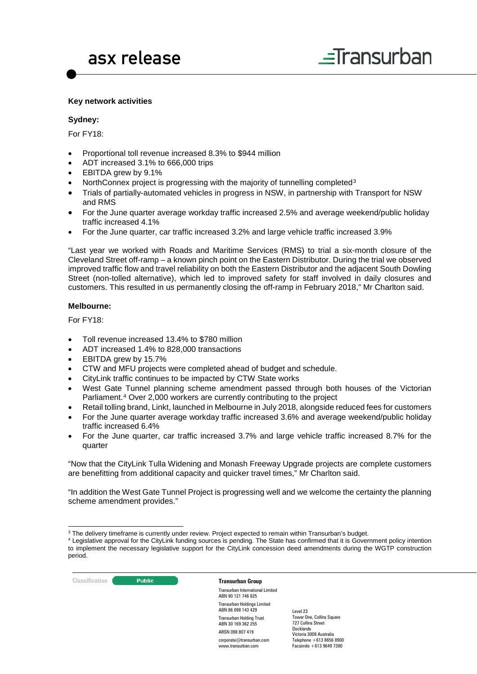#### **Key network activities**

#### **Sydney:**

For FY18:

- Proportional toll revenue increased 8.3% to \$944 million
- ADT increased 3.1% to 666,000 trips
- EBITDA grew by 9.1%
- NorthConnex project is progressing with the majority of tunnelling completed[3](#page-1-0)
- Trials of partially-automated vehicles in progress in NSW, in partnership with Transport for NSW and RMS
- For the June quarter average workday traffic increased 2.5% and average weekend/public holiday traffic increased 4.1%
- For the June quarter, car traffic increased 3.2% and large vehicle traffic increased 3.9%

"Last year we worked with Roads and Maritime Services (RMS) to trial a six-month closure of the Cleveland Street off-ramp – a known pinch point on the Eastern Distributor. During the trial we observed improved traffic flow and travel reliability on both the Eastern Distributor and the adjacent South Dowling Street (non-tolled alternative), which led to improved safety for staff involved in daily closures and customers. This resulted in us permanently closing the off-ramp in February 2018," Mr Charlton said.

#### **Melbourne:**

For FY18:

- Toll revenue increased 13.4% to \$780 million
- ADT increased 1.4% to 828,000 transactions
- EBITDA grew by 15.7%
- CTW and MFU projects were completed ahead of budget and schedule.
- CityLink traffic continues to be impacted by CTW State works
- West Gate Tunnel planning scheme amendment passed through both houses of the Victorian Parliament.[4](#page-1-1) Over 2,000 workers are currently contributing to the project
- Retail tolling brand, Linkt, launched in Melbourne in July 2018, alongside reduced fees for customers
- For the June quarter average workday traffic increased 3.6% and average weekend/public holiday traffic increased 6.4%
- For the June quarter, car traffic increased 3.7% and large vehicle traffic increased 8.7% for the quarter

"Now that the CityLink Tulla Widening and Monash Freeway Upgrade projects are complete customers are benefitting from additional capacity and quicker travel times," Mr Charlton said.

"In addition the West Gate Tunnel Project is progressing well and we welcome the certainty the planning scheme amendment provides."

<span id="page-1-1"></span><span id="page-1-0"></span><sup>&</sup>lt;sup>4</sup> Legislative approval for the CityLink funding sources is pending. The State has confirmed that it is Government policy intention to implement the necessary legislative support for the CityLink concession deed amendments during the WGTP construction period.



Transurban International Limited ABN 90 121 746 825 Transurban Holdings Limited ABN 86 098 143 429 Transurban Holding Trust ABN 30 169 362 255 ARSN 098 807 419 corporate@transurban.com www.transurban.com

<sup>&</sup>lt;sup>3</sup> The delivery timeframe is currently under review. Project expected to remain within Transurban's budget.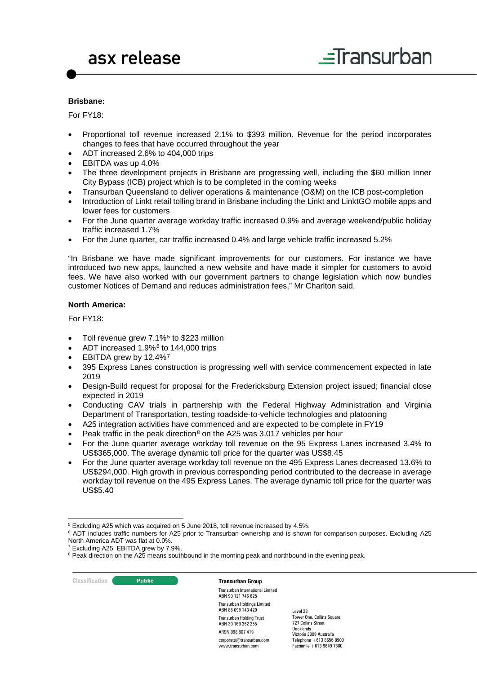#### **Brisbane:**

For FY18:

- Proportional toll revenue increased 2.1% to \$393 million. Revenue for the period incorporates changes to fees that have occurred throughout the year
- ADT increased 2.6% to 404,000 trips
- EBITDA was up 4.0%
- The three development projects in Brisbane are progressing well, including the \$60 million Inner City Bypass (ICB) project which is to be completed in the coming weeks
- Transurban Queensland to deliver operations & maintenance (O&M) on the ICB post-completion
- Introduction of Linkt retail tolling brand in Brisbane including the Linkt and LinktGO mobile apps and lower fees for customers
- For the June quarter average workday traffic increased 0.9% and average weekend/public holiday traffic increased 1.7%
- For the June quarter, car traffic increased 0.4% and large vehicle traffic increased 5.2%

"In Brisbane we have made significant improvements for our customers. For instance we have introduced two new apps, launched a new website and have made it simpler for customers to avoid fees. We have also worked with our government partners to change legislation which now bundles customer Notices of Demand and reduces administration fees," Mr Charlton said.

## **North America:**

For FY18:

- Toll revenue grew  $7.1\%$ <sup>[5](#page-2-0)</sup> to \$223 million
- ADT increased  $1.9\%$ <sup>[6](#page-2-1)</sup> to 144,000 trips
- EBITDA grew by 12.4%<sup>[7](#page-2-2)</sup>
- 395 Express Lanes construction is progressing well with service commencement expected in late 2019
- Design-Build request for proposal for the Fredericksburg Extension project issued; financial close expected in 2019
- Conducting CAV trials in partnership with the Federal Highway Administration and Virginia Department of Transportation, testing roadside-to-vehicle technologies and platooning
- A25 integration activities have commenced and are expected to be complete in FY19
- Peak traffic in the peak direction<sup>[8](#page-2-3)</sup> on the A25 was 3,017 vehicles per hour
- For the June quarter average workday toll revenue on the 95 Express Lanes increased 3.4% to US\$365,000. The average dynamic toll price for the quarter was US\$8.45
- For the June quarter average workday toll revenue on the 495 Express Lanes decreased 13.6% to US\$294,000. High growth in previous corresponding period contributed to the decrease in average workday toll revenue on the 495 Express Lanes. The average dynamic toll price for the quarter was US\$5.40

**Classification Constitution Transurban Group** 

Transurban International Limited ABN 90 121 746 825 Transurban Holdings Limited ABN 86 098 143 429 Transurban Holding Trust ABN 30 169 362 255 ARSN 098 807 419 corporate@transurban.com www.transurban.com

<span id="page-2-0"></span> <sup>5</sup> Excluding A25 which was acquired on 5 June 2018, toll revenue increased by 4.5%.

<span id="page-2-1"></span><sup>&</sup>lt;sup>6</sup> ADT includes traffic numbers for A25 prior to Transurban ownership and is shown for comparison purposes. Excluding A25 North America ADT was flat at 0.0%.

<sup>&</sup>lt;sup>7</sup> Excluding A25, EBITDA grew by 7.9%.

<span id="page-2-3"></span><span id="page-2-2"></span><sup>&</sup>lt;sup>8</sup> Peak direction on the A25 means southbound in the morning peak and northbound in the evening peak.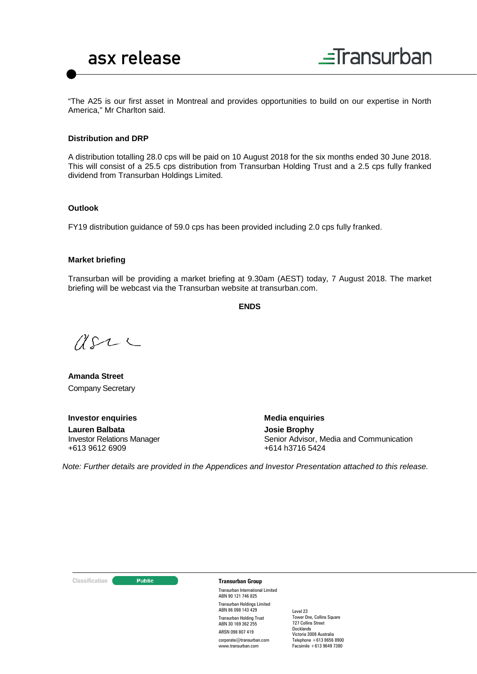

"The A25 is our first asset in Montreal and provides opportunities to build on our expertise in North America," Mr Charlton said.

#### **Distribution and DRP**

A distribution totalling 28.0 cps will be paid on 10 August 2018 for the six months ended 30 June 2018. This will consist of a 25.5 cps distribution from Transurban Holding Trust and a 2.5 cps fully franked dividend from Transurban Holdings Limited.

#### **Outlook**

FY19 distribution guidance of 59.0 cps has been provided including 2.0 cps fully franked.

#### **Market briefing**

Transurban will be providing a market briefing at 9.30am (AEST) today, 7 August 2018. The market briefing will be webcast via the Transurban website at transurban.com.

**ENDS**

 $2222$ 

**Amanda Street** Company Secretary

**Investor enquiries**

**Lauren Balbata** Investor Relations Manager +613 9612 6909

**Media enquiries**

**Josie Brophy** Senior Advisor, Media and Communication +614 h3716 5424

*Note: Further details are provided in the Appendices and Investor Presentation attached to this release.* 

#### **Classification C Transurban Group**

Transurban International Limited ABN 90 121 746 825 Transurban Holdings Limited ABN 86 098 143 429 Transurban Holding Trust ABN 30 169 362 255 ARSN 098 807 419

corporate@transurban.com www.transurban.com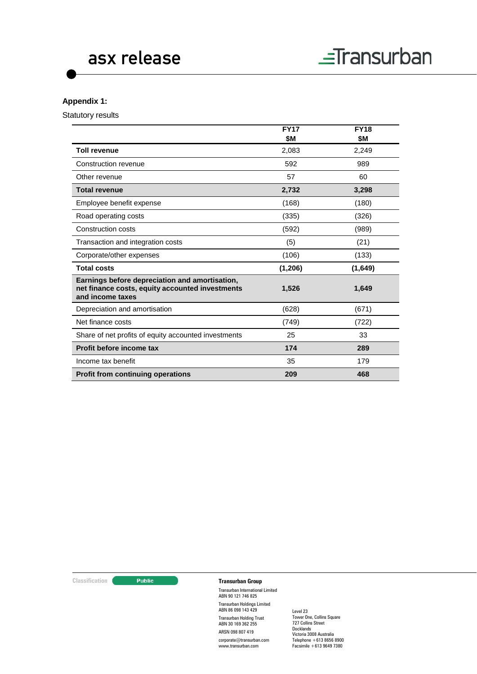## **Appendix 1:**

Statutory results

|                                                                                                                       | <b>FY17</b> | <b>FY18</b> |
|-----------------------------------------------------------------------------------------------------------------------|-------------|-------------|
|                                                                                                                       | \$M         | \$M         |
| <b>Toll revenue</b>                                                                                                   | 2,083       | 2,249       |
| Construction revenue                                                                                                  | 592         | 989         |
| Other revenue                                                                                                         | 57          | 60          |
| <b>Total revenue</b>                                                                                                  | 2,732       | 3,298       |
| Employee benefit expense                                                                                              | (168)       | (180)       |
| Road operating costs                                                                                                  | (335)       | (326)       |
| Construction costs                                                                                                    | (592)       | (989)       |
| Transaction and integration costs                                                                                     | (5)         | (21)        |
| Corporate/other expenses                                                                                              | (106)       | (133)       |
| <b>Total costs</b>                                                                                                    | (1,206)     | (1,649)     |
| Earnings before depreciation and amortisation,<br>net finance costs, equity accounted investments<br>and income taxes | 1,526       | 1,649       |
| Depreciation and amortisation                                                                                         | (628)       | (671)       |
| Net finance costs                                                                                                     | (749)       | (722)       |
| Share of net profits of equity accounted investments                                                                  | 25          | 33          |
| Profit before income tax                                                                                              | 174         | 289         |
| Income tax benefit                                                                                                    | 35          | 179         |
| <b>Profit from continuing operations</b>                                                                              | 209         | 468         |

**Classification C Transurban Group** 

Transurban International Limited ABN 90 121 746 825 Transurban Holdings Limited ABN 86 098 143 429 Transurban Holding Trust ABN 30 169 362 255 ARSN 098 807 419

corporate@transurban.com www.transurban.com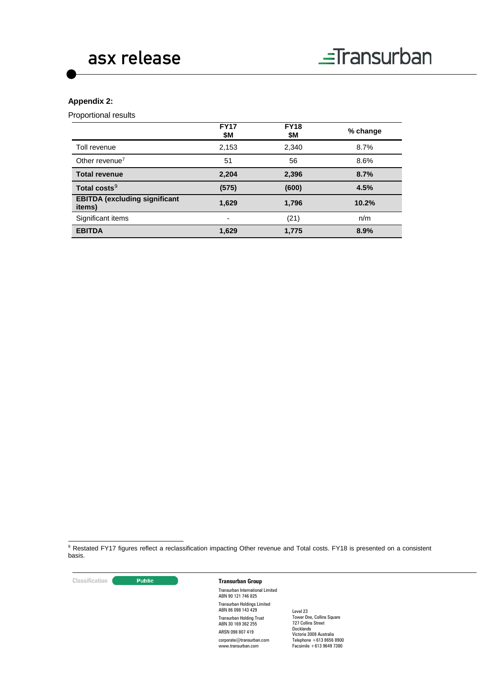# **Appendix 2:**

Proportional results

|                                                | <b>FY17</b><br>\$М       | <b>FY18</b><br>\$M | % change |
|------------------------------------------------|--------------------------|--------------------|----------|
| Toll revenue                                   | 2,153                    | 2,340              | 8.7%     |
| Other revenue <sup>7</sup>                     | 51                       | 56                 | 8.6%     |
| <b>Total revenue</b>                           | 2,204                    | 2,396              | 8.7%     |
| Total costs <sup>9</sup>                       | (575)                    | (600)              | 4.5%     |
| <b>EBITDA (excluding significant</b><br>items) | 1,629                    | 1,796              | 10.2%    |
| Significant items                              | $\overline{\phantom{0}}$ | (21)               | n/m      |
| <b>EBITDA</b>                                  | 1,629                    | 1,775              | 8.9%     |

<span id="page-5-0"></span><sup>9</sup> Restated FY17 figures reflect a reclassification impacting Other revenue and Total costs. FY18 is presented on a consistent basis.

**Classification Construction Transurban Group** 

Transurban International Limited ABN 90 121 746 825 Transurban Holdings Limited ABN 86 098 143 429 Transurban Holding Trust ABN 30 169 362 255 ARSN 098 807 419 corporate@transurban.com www.transurban.com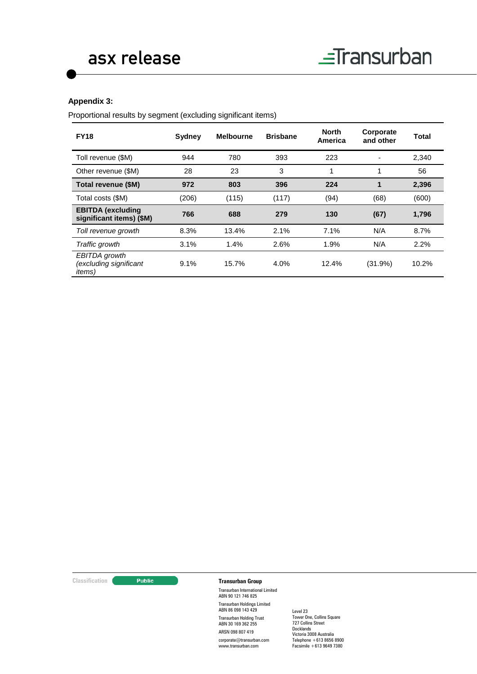## **Appendix 3:**

Proportional results by segment (excluding significant items)

| <b>FY18</b>                                               | Sydney | <b>Melbourne</b> | <b>Brisbane</b> | <b>North</b><br>America | Corporate<br>and other | Total |
|-----------------------------------------------------------|--------|------------------|-----------------|-------------------------|------------------------|-------|
| Toll revenue (\$M)                                        | 944    | 780              | 393             | 223                     |                        | 2,340 |
| Other revenue (\$M)                                       | 28     | 23               | 3               | 1                       | 1                      | 56    |
| Total revenue (\$M)                                       | 972    | 803              | 396             | 224                     | 1                      | 2,396 |
| Total costs (\$M)                                         | (206)  | (115)            | (117)           | (94)                    | (68)                   | (600) |
| <b>EBITDA</b> (excluding<br>significant items) (\$M)      | 766    | 688              | 279             | 130                     | (67)                   | 1,796 |
| Toll revenue growth                                       | 8.3%   | 13.4%            | 2.1%            | 7.1%                    | N/A                    | 8.7%  |
| Traffic growth                                            | 3.1%   | 1.4%             | 2.6%            | 1.9%                    | N/A                    | 2.2%  |
| EBITDA growth<br>(excluding significant<br><i>items</i> ) | 9.1%   | 15.7%            | 4.0%            | 12.4%                   | (31.9%)                | 10.2% |

# **Classification C Transurban Group**

Transurban International Limited ABN 90 121 746 825 Transurban Holdings Limited ABN 86 098 143 429 Transurban Holding Trust ABN 30 169 362 255 ARSN 098 807 419 corporate@transurban.com www.transurban.com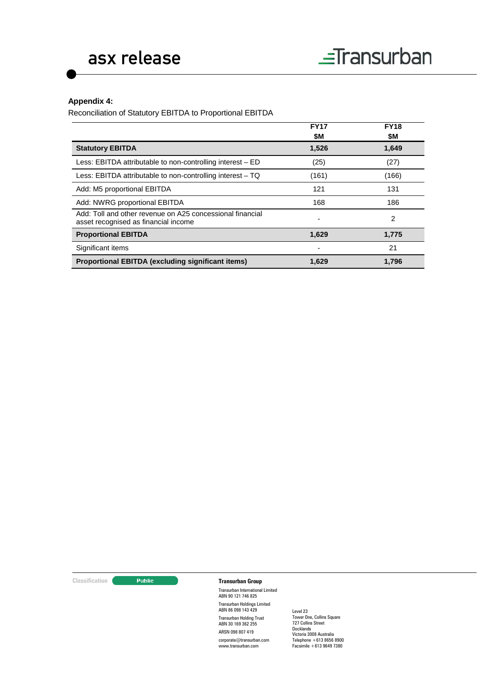# **Appendix 4:**

Reconciliation of Statutory EBITDA to Proportional EBITDA

|                                                                                                   | <b>FY17</b><br>\$M | <b>FY18</b><br>\$M |
|---------------------------------------------------------------------------------------------------|--------------------|--------------------|
| <b>Statutory EBITDA</b>                                                                           | 1,526              | 1,649              |
| Less: EBITDA attributable to non-controlling interest - ED                                        | (25)               | (27)               |
| Less: EBITDA attributable to non-controlling interest $-$ TQ                                      | (161)              | (166)              |
| Add: M5 proportional EBITDA                                                                       | 121                | 131                |
| Add: NWRG proportional EBITDA                                                                     | 168                | 186                |
| Add: Toll and other revenue on A25 concessional financial<br>asset recognised as financial income | ٠                  | 2                  |
| <b>Proportional EBITDA</b>                                                                        | 1,629              | 1,775              |
| Significant items                                                                                 |                    | 21                 |
| <b>Proportional EBITDA (excluding significant items)</b>                                          | 1,629              | 1,796              |

# **Classification Construction Transurban Group**

Transurban International Limited ABN 90 121 746 825 Transurban Holdings Limited ABN 86 098 143 429 Transurban Holding Trust ABN 30 169 362 255 ARSN 098 807 419 corporate@transurban.com

www.transurban.com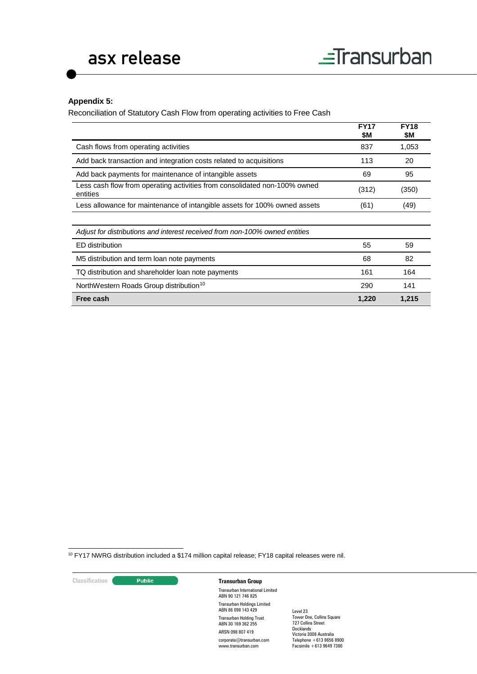# **Appendix 5:**

Reconciliation of Statutory Cash Flow from operating activities to Free Cash

|                                                                                       | <b>FY17</b><br>\$Μ | <b>FY18</b><br>\$Μ |
|---------------------------------------------------------------------------------------|--------------------|--------------------|
| Cash flows from operating activities                                                  | 837                | 1,053              |
| Add back transaction and integration costs related to acquisitions                    | 113                | 20                 |
| Add back payments for maintenance of intangible assets                                | 69                 | 95                 |
| Less cash flow from operating activities from consolidated non-100% owned<br>entities | (312)              | (350)              |
| Less allowance for maintenance of intangible assets for 100% owned assets             | (61)               | (49)               |
|                                                                                       |                    |                    |
| Adjust for distributions and interest received from non-100% owned entities           |                    |                    |
| ED distribution                                                                       | 55                 | 59                 |
| M5 distribution and term loan note payments                                           | 68                 | 82                 |
| TQ distribution and shareholder loan note payments                                    | 161                | 164                |
| NorthWestern Roads Group distribution <sup>10</sup>                                   | 290                | 141                |
| Free cash                                                                             | 1,220              | 1,215              |

<span id="page-8-0"></span>10 FY17 NWRG distribution included a \$174 million capital release; FY18 capital releases were nil.

**Classification Construction Transurban Group** Transurban International Limited ABN 90 121 746 825 Transurban Holdings Limited ABN 86 098 143 429 Transurban Holding Trust ABN 30 169 362 255 ARSN 098 807 419 corporate@transurban.com www.transurban.com Level 23 Tower One, Collins Square 727 Collins Street Docklands Victoria 3008 Australia Telephone +613 8656 8900 Facsimile +613 9649 7380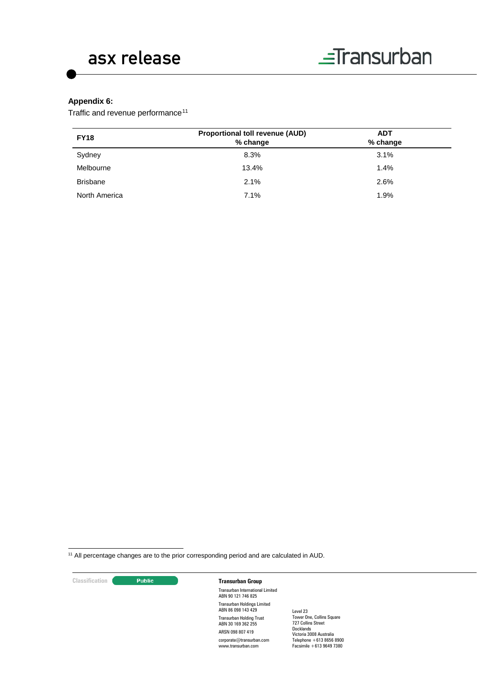# **Appendix 6:**

Traffic and revenue performance<sup>[11](#page-9-0)</sup>

| <b>FY18</b>     | <b>Proportional toll revenue (AUD)</b><br>% change | <b>ADT</b><br>% change |  |
|-----------------|----------------------------------------------------|------------------------|--|
| Sydney          | 8.3%                                               | 3.1%                   |  |
| Melbourne       | 13.4%                                              | 1.4%                   |  |
| <b>Brisbane</b> | 2.1%                                               | 2.6%                   |  |
| North America   | 7.1%                                               | 1.9%                   |  |

<span id="page-9-0"></span>11 All percentage changes are to the prior corresponding period and are calculated in AUD.

| <b>Classification</b> |  |  |
|-----------------------|--|--|
|                       |  |  |

## **Classification Classification Transurban Group**

Transurban International Limited ABN 90 121 746 825 Transurban Holdings Limited ABN 86 098 143 429 Transurban Holding Trust ABN 30 169 362 255 ARSN 098 807 419 corporate@transurban.com www.transurban.com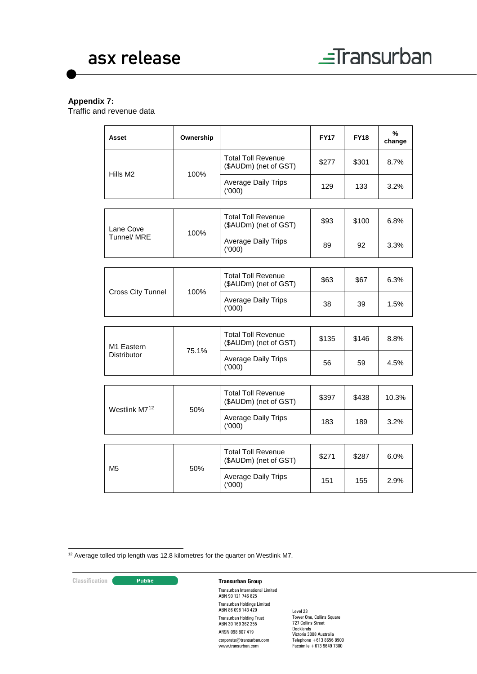# **Appendix 7:**

Traffic and revenue data

| Asset                     | Ownership |                                                    | <b>FY17</b> | <b>FY18</b> | %<br>change |
|---------------------------|-----------|----------------------------------------------------|-------------|-------------|-------------|
| Hills M2                  |           | <b>Total Toll Revenue</b><br>(\$AUDm) (net of GST) | \$277       | \$301       | 8.7%        |
|                           | 100%      | <b>Average Daily Trips</b><br>(000)                | 129         | 133         | 3.2%        |
|                           |           |                                                    |             |             |             |
| Lane Cove                 | 100%      | <b>Total Toll Revenue</b><br>(\$AUDm) (net of GST) | \$93        | \$100       | 6.8%        |
| Tunnel/ MRE               |           | <b>Average Daily Trips</b><br>(000)                | 89          | 92          | 3.3%        |
|                           |           |                                                    |             |             |             |
|                           | 100%      | <b>Total Toll Revenue</b><br>(\$AUDm) (net of GST) | \$63        | \$67        | 6.3%        |
| Cross City Tunnel         |           | <b>Average Daily Trips</b><br>(000)                | 38          | 39          | 1.5%        |
|                           |           |                                                    |             |             |             |
| M1 Eastern<br>Distributor | 75.1%     | <b>Total Toll Revenue</b><br>(\$AUDm) (net of GST) | \$135       | \$146       | 8.8%        |
|                           |           | <b>Average Daily Trips</b><br>(000)                | 56          | 59          | 4.5%        |
|                           |           |                                                    |             |             |             |
| Westlink M712             | 50%       | <b>Total Toll Revenue</b><br>(\$AUDm) (net of GST) | \$397       | \$438       | 10.3%       |
|                           |           | <b>Average Daily Trips</b><br>(000)                | 183         | 189         | 3.2%        |
|                           |           |                                                    |             |             |             |
| M5                        |           | <b>Total Toll Revenue</b><br>(\$AUDm) (net of GST) | \$271       | \$287       | 6.0%        |
|                           | 50%       | <b>Average Daily Trips</b><br>(000)                | 151         | 155         | 2.9%        |

<span id="page-10-0"></span><sup>12</sup> Average tolled trip length was 12.8 kilometres for the quarter on Westlink M7.

## **Classification Transurban Group**

Transurban International Limited ABN 90 121 746 825 Transurban Holdings Limited ABN 86 098 143 429 Transurban Holding Trust ABN 30 169 362 255 ARSN 098 807 419 corporate@transurban.com www.transurban.com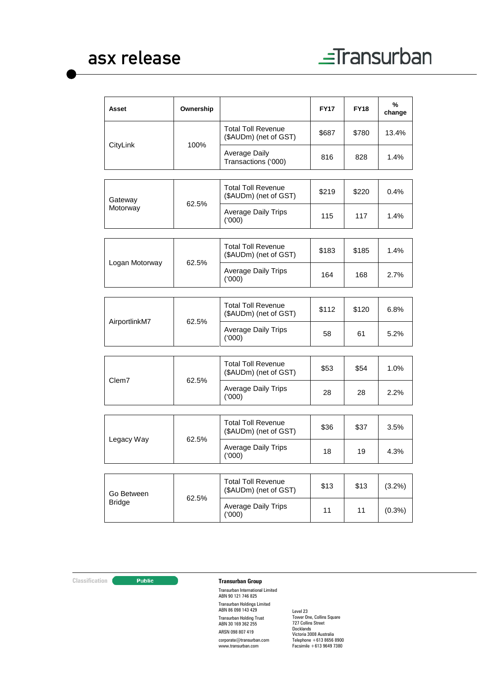| Asset          | Ownership |                                                    | <b>FY17</b> | <b>FY18</b> | %<br>change |
|----------------|-----------|----------------------------------------------------|-------------|-------------|-------------|
|                |           | <b>Total Toll Revenue</b><br>(\$AUDm) (net of GST) | \$687       | \$780       | 13.4%       |
| CityLink       | 100%      | Average Daily<br>Transactions ('000)               | 816         | 828         | 1.4%        |
| Gateway        | 62.5%     | <b>Total Toll Revenue</b><br>(\$AUDm) (net of GST) | \$219       | \$220       | 0.4%        |
| Motorway       |           | <b>Average Daily Trips</b><br>(000)                | 115         | 117         | 1.4%        |
|                |           |                                                    |             |             |             |
| Logan Motorway |           | <b>Total Toll Revenue</b><br>(\$AUDm) (net of GST) | \$183       | \$185       | 1.4%        |
|                | 62.5%     | Average Daily Trips<br>(000)                       | 164         | 168         | 2.7%        |
|                |           |                                                    |             |             |             |
| AirportlinkM7  | 62.5%     | <b>Total Toll Revenue</b><br>(\$AUDm) (net of GST) | \$112       | \$120       | 6.8%        |
|                |           | <b>Average Daily Trips</b><br>(000)                | 58          | 61          | 5.2%        |
|                |           |                                                    |             |             |             |
|                | 62.5%     | <b>Total Toll Revenue</b><br>(\$AUDm) (net of GST) | \$53        | \$54        | 1.0%        |
| Clem7          |           | <b>Average Daily Trips</b><br>(000)                | 28          | 28          | 2.2%        |
|                |           |                                                    |             |             |             |
|                |           | <b>Total Toll Revenue</b><br>(\$AUDm) (net of GST) | \$36        | \$37        | 3.5%        |
| Legacy Way     | 62.5%     | <b>Average Daily Trips</b><br>(000)                | 18          | 19          | 4.3%        |
|                |           |                                                    |             |             |             |
| Go Between     | 62.5%     | <b>Total Toll Revenue</b><br>(\$AUDm) (net of GST) | \$13        | \$13        | $(3.2\%)$   |
| <b>Bridge</b>  |           | <b>Average Daily Trips</b><br>(000)                | 11          | 11          | $(0.3\%)$   |
|                |           |                                                    |             |             |             |

**Classification C Transurban Group** 

Transurban International Limited ABN 90 121 746 825 Transurban Holdings Limited ABN 86 098 143 429 Transurban Holding Trust ABN 30 169 362 255 ARSN 098 807 419

corporate@transurban.com www.transurban.com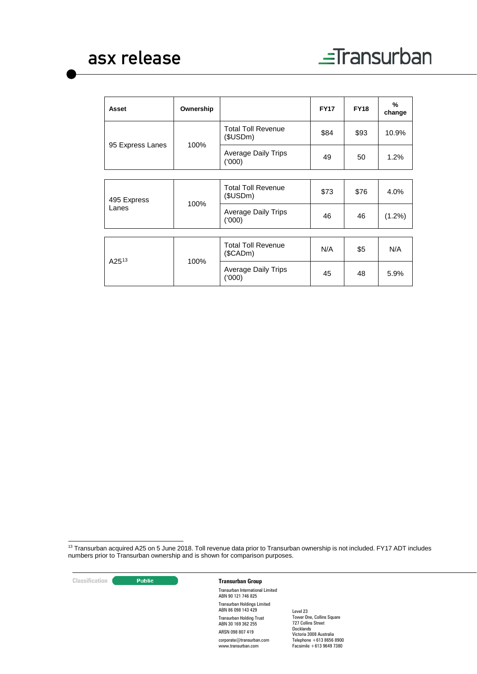| Asset                | Ownership |                                         | <b>FY17</b> | <b>FY18</b> | $\%$<br>change |
|----------------------|-----------|-----------------------------------------|-------------|-------------|----------------|
|                      |           | <b>Total Toll Revenue</b><br>(\$USDm)   | \$84        | \$93        | 10.9%          |
| 95 Express Lanes     | 100%      | <b>Average Daily Trips</b><br>(000)     | 49          | 50          | 1.2%           |
|                      |           |                                         |             |             |                |
| 495 Express<br>Lanes | 100%      | <b>Total Toll Revenue</b><br>(\$USDm)   | \$73        | \$76        | 4.0%           |
|                      |           | <b>Average Daily Trips</b><br>(000)     | 46          | 46          | $(1.2\%)$      |
|                      |           |                                         |             |             |                |
| $A25^{13}$           | 100%      | <b>Total Toll Revenue</b><br>$(\$CADm)$ | N/A         | \$5         | N/A            |
|                      |           | <b>Average Daily Trips</b><br>(000)     | 45          | 48          | 5.9%           |

<span id="page-12-0"></span>13 Transurban acquired A25 on 5 June 2018. Toll revenue data prior to Transurban ownership is not included. FY17 ADT includes numbers prior to Transurban ownership and is shown for comparison purposes.

**Classification Construction Transurban Group** 

Transurban International Limited ABN 90 121 746 825 Transurban Holdings Limited ABN 86 098 143 429 Transurban Holding Trust ABN 30 169 362 255 ARSN 098 807 419 corporate@transurban.com www.transurban.com